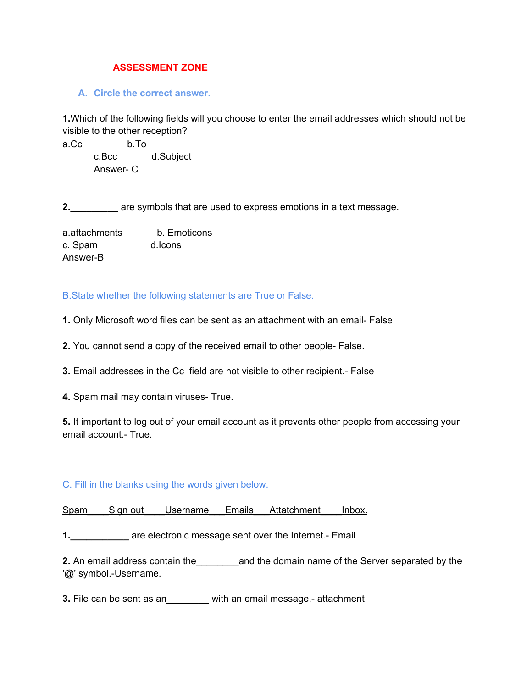## **ASSESSMENT ZONE**

## **A. Circle the correct answer.**

**1.**Which of the following fields will you choose to enter the email addresses which should not be visible to the other reception?

a.Cc b.To c.Bcc d.Subject Answer- C

**2.\_\_\_\_\_\_\_\_\_** are symbols that are used to express emotions in a text message.

| a.attachments | b. Emoticons |
|---------------|--------------|
| c. Spam       | d.lcons      |
| Answer-B      |              |

B.State whether the following statements are True or False.

- **1.** Only Microsoft word files can be sent as an attachment with an email- False
- **2.** You cannot send a copy of the received email to other people- False.
- **3.** Email addresses in the Cc field are not visible to other recipient.- False
- **4.** Spam mail may contain viruses- True.

**5.** It important to log out of your email account as it prevents other people from accessing your email account.- True.

## C. Fill in the blanks using the words given below.

Spam\_\_\_\_Sign out Username\_\_\_Emails\_\_\_Attatchment \_\_\_Inbox.

**1. 1. are electronic message sent over the Internet.- Email** 

**2.** An email address contain the\_\_\_\_\_\_\_\_and the domain name of the Server separated by the '@' symbol.-Username.

**3.** File can be sent as an\_\_\_\_\_\_\_\_ with an email message.- attachment